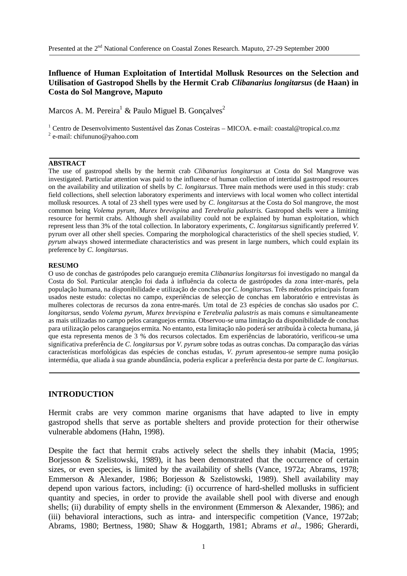# **Influence of Human Exploitation of Intertidal Mollusk Resources on the Selection and Utilisation of Gastropod Shells by the Hermit Crab** *Clibanarius longitarsus* **(de Haan) in Costa do Sol Mangrove, Maputo**

Marcos A. M. Pereira $^1$  & Paulo Miguel B. Gonçalves<sup>2</sup>

<sup>1</sup> Centro de Desenvolvimento Sustentável das Zonas Costeiras - MICOA. e-mail: coastal@tropical.co.mz

<sup>2</sup> e-mail: chifununo@yahoo.com

#### **ABSTRACT**

The use of gastropod shells by the hermit crab *Clibanarius longitarsus* at Costa do Sol Mangrove was investigated. Particular attention was paid to the influence of human collection of intertidal gastropod resources on the availability and utilization of shells by *C*. *longitarsus*. Three main methods were used in this study: crab field collections, shell selection laboratory experiments and interviews with local women who collect intertidal mollusk resources. A total of 23 shell types were used by *C*. *longitarsus* at the Costa do Sol mangrove, the most common being *Volema pyrum*, *Murex brevispina* and *Terebralia palustris*. Gastropod shells were a limiting resource for hermit crabs. Although shell availability could not be explained by human exploitation, which represent less than 3% of the total collection. In laboratory experiments, *C*. *longitarsus* significantly preferred *V.* pyrum over all other shell species. Comparing the morphological characteristics of the shell species studied, *V*. *pyrum* always showed intermediate characteristics and was present in large numbers, which could explain its preference by *C*. *longitarsus*.

#### **RESUMO**

O uso de conchas de gastrópodes pelo caranguejo eremita *Clibanarius longitarsus* foi investigado no mangal da Costa do Sol. Particular atenção foi dada à influência da colecta de gastrópodes da zona inter-marés, pela população humana, na disponibilidade e utilização de conchas por *C*. *longitarsus*. Três métodos principais foram usados neste estudo: colectas no campo, experiências de selecção de conchas em laboratório e entrevistas às mulheres colectoras de recursos da zona entre-marés. Um total de 23 espécies de conchas são usados por *C*. *longitarsus*, sendo *Volema pyrum*, *Murex brevispina* e *Terebralia palustris* as mais comuns e simultaneamente as mais utilizadas no campo pelos caranguejos ermita. Observou-se uma limitação da disponibilidade de conchas para utilização pelos caranguejos ermita. No entanto, esta limitação não poderá ser atribuída à colecta humana, já que esta representa menos de 3 % dos recursos colectados. Em experiências de laboratório, verificou-se uma significativa preferência de *C*. *longitarsus* por *V*. *pyrum* sobre todas as outras conchas. Da comparação das várias características morfológicas das espécies de conchas estudas, *V*. *pyrum* apresentou-se sempre numa posição intermédia, que aliada à sua grande abundância, poderia explicar a preferência desta por parte de *C*. *longitarsus*.

# **INTRODUCTION**

Hermit crabs are very common marine organisms that have adapted to live in empty gastropod shells that serve as portable shelters and provide protection for their otherwise vulnerable abdomens (Hahn, 1998).

Despite the fact that hermit crabs actively select the shells they inhabit (Macia, 1995; Borjesson & Szelistowski, 1989), it has been demonstrated that the occurrence of certain sizes, or even species, is limited by the availability of shells (Vance, 1972a; Abrams, 1978; Emmerson & Alexander, 1986; Borjesson & Szelistowski, 1989). Shell availability may depend upon various factors, including: (i) occurrence of hard-shelled mollusks in sufficient quantity and species, in order to provide the available shell pool with diverse and enough shells; (ii) durability of empty shells in the environment (Emmerson & Alexander, 1986); and (iii) behavioral interactions, such as intra- and interspecific competition (Vance, 1972ab; Abrams, 1980; Bertness, 1980; Shaw & Hoggarth, 1981; Abrams *et al*., 1986; Gherardi,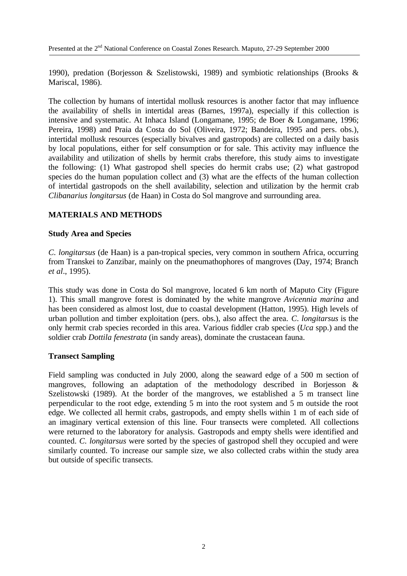1990), predation (Borjesson & Szelistowski, 1989) and symbiotic relationships (Brooks & Mariscal, 1986).

The collection by humans of intertidal mollusk resources is another factor that may influence the availability of shells in intertidal areas (Barnes, 1997a), especially if this collection is intensive and systematic. At Inhaca Island (Longamane, 1995; de Boer & Longamane, 1996; Pereira, 1998) and Praia da Costa do Sol (Oliveira, 1972; Bandeira, 1995 and pers. obs.), intertidal mollusk resources (especially bivalves and gastropods) are collected on a daily basis by local populations, either for self consumption or for sale. This activity may influence the availability and utilization of shells by hermit crabs therefore, this study aims to investigate the following: (1) What gastropod shell species do hermit crabs use; (2) what gastropod species do the human population collect and (3) what are the effects of the human collection of intertidal gastropods on the shell availability, selection and utilization by the hermit crab *Clibanarius longitarsus* (de Haan) in Costa do Sol mangrove and surrounding area.

# **MATERIALS AND METHODS**

# **Study Area and Species**

*C*. *longitarsus* (de Haan) is a pan-tropical species, very common in southern Africa, occurring from Transkei to Zanzibar, mainly on the pneumathophores of mangroves (Day, 1974; Branch *et al*., 1995).

This study was done in Costa do Sol mangrove, located 6 km north of Maputo City (Figure 1). This small mangrove forest is dominated by the white mangrove *Avicennia marina* and has been considered as almost lost, due to coastal development (Hatton, 1995). High levels of urban pollution and timber exploitation (pers. obs.), also affect the area. *C*. *longitarsus* is the only hermit crab species recorded in this area. Various fiddler crab species (*Uca* spp.) and the soldier crab *Dottila fenestrata* (in sandy areas), dominate the crustacean fauna.

# **Transect Sampling**

Field sampling was conducted in July 2000, along the seaward edge of a 500 m section of mangroves, following an adaptation of the methodology described in Borjesson & Szelistowski (1989). At the border of the mangroves, we established a 5 m transect line perpendicular to the root edge, extending 5 m into the root system and 5 m outside the root edge. We collected all hermit crabs, gastropods, and empty shells within 1 m of each side of an imaginary vertical extension of this line. Four transects were completed. All collections were returned to the laboratory for analysis. Gastropods and empty shells were identified and counted. *C*. *longitarsus* were sorted by the species of gastropod shell they occupied and were similarly counted. To increase our sample size, we also collected crabs within the study area but outside of specific transects.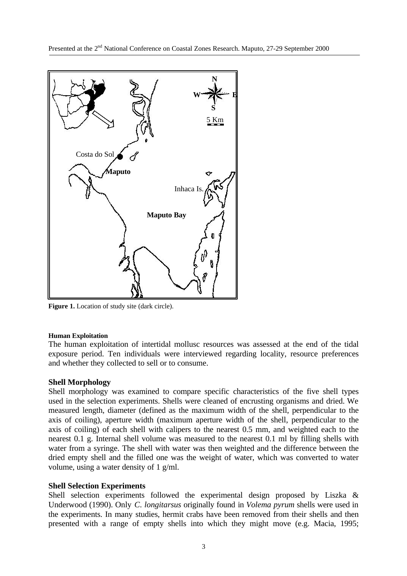

Figure 1. Location of study site (dark circle).

### **Human Exploitation**

The human exploitation of intertidal mollusc resources was assessed at the end of the tidal exposure period. Ten individuals were interviewed regarding locality, resource preferences and whether they collected to sell or to consume.

# **Shell Morphology**

Shell morphology was examined to compare specific characteristics of the five shell types used in the selection experiments. Shells were cleaned of encrusting organisms and dried. We measured length, diameter (defined as the maximum width of the shell, perpendicular to the axis of coiling), aperture width (maximum aperture width of the shell, perpendicular to the axis of coiling) of each shell with calipers to the nearest 0.5 mm, and weighted each to the nearest 0.1 g. Internal shell volume was measured to the nearest 0.1 ml by filling shells with water from a syringe. The shell with water was then weighted and the difference between the dried empty shell and the filled one was the weight of water, which was converted to water volume, using a water density of 1 g/ml.

# **Shell Selection Experiments**

Shell selection experiments followed the experimental design proposed by Liszka & Underwood (1990). Only *C*. *longitarsus* originally found in *Volema pyrum* shells were used in the experiments. In many studies, hermit crabs have been removed from their shells and then presented with a range of empty shells into which they might move (e.g. Macia, 1995;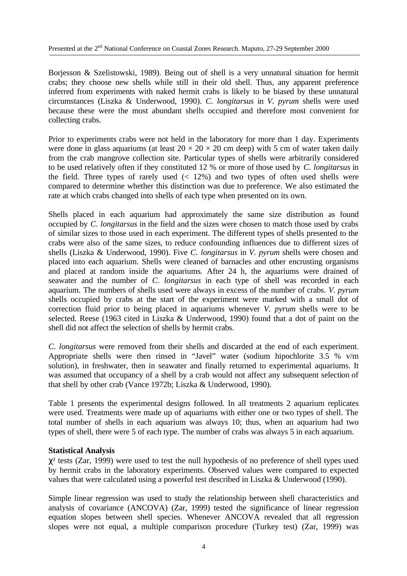Borjesson & Szelistowski, 1989). Being out of shell is a very unnatural situation for hermit crabs; they choose new shells while still in their old shell. Thus, any apparent preference inferred from experiments with naked hermit crabs is likely to be biased by these unnatural circumstances (Liszka & Underwood, 1990). *C*. *longitarsus* in *V*. *pyrum* shells were used because these were the most abundant shells occupied and therefore most convenient for collecting crabs.

Prior to experiments crabs were not held in the laboratory for more than 1 day. Experiments were done in glass aquariums (at least  $20 \times 20 \times 20$  cm deep) with 5 cm of water taken daily from the crab mangrove collection site. Particular types of shells were arbitrarily considered to be used relatively often if they constituted 12 % or more of those used by *C*. *longitarsus* in the field. Three types of rarely used  $(12\%)$  and two types of often used shells were compared to determine whether this distinction was due to preference. We also estimated the rate at which crabs changed into shells of each type when presented on its own.

Shells placed in each aquarium had approximately the same size distribution as found occupied by *C*. *longitarsus* in the field and the sizes were chosen to match those used by crabs of similar sizes to those used in each experiment. The different types of shells presented to the crabs were also of the same sizes, to reduce confounding influences due to different sizes of shells (Liszka & Underwood, 1990). Five *C*. *longitarsus* in *V*. *pyrum* shells were chosen and placed into each aquarium. Shells were cleaned of barnacles and other encrusting organisms and placed at random inside the aquariums. After 24 h, the aquariums were drained of seawater and the number of *C*. *longitarsus* in each type of shell was recorded in each aquarium. The numbers of shells used were always in excess of the number of crabs. *V*. *pyrum* shells occupied by crabs at the start of the experiment were marked with a small dot of correction fluid prior to being placed in aquariums whenever *V*. *pyrum* shells were to be selected. Reese (1963 cited in Liszka & Underwood, 1990) found that a dot of paint on the shell did not affect the selection of shells by hermit crabs.

*C*. *longitarsus* were removed from their shells and discarded at the end of each experiment. Appropriate shells were then rinsed in "Javel" water (sodium hipochlorite 3.5 % v/m solution), in freshwater, then in seawater and finally returned to experimental aquariums. It was assumed that occupancy of a shell by a crab would not affect any subsequent selection of that shell by other crab (Vance 1972b; Liszka & Underwood, 1990).

Table 1 presents the experimental designs followed. In all treatments 2 aquarium replicates were used. Treatments were made up of aquariums with either one or two types of shell. The total number of shells in each aquarium was always 10; thus, when an aquarium had two types of shell, there were 5 of each type. The number of crabs was always 5 in each aquarium.

# **Statistical Analysis**

 $\chi^2$  tests (Zar, 1999) were used to test the null hypothesis of no preference of shell types used by hermit crabs in the laboratory experiments. Observed values were compared to expected values that were calculated using a powerful test described in Liszka & Underwood (1990).

Simple linear regression was used to study the relationship between shell characteristics and analysis of covariance (ANCOVA) (Zar, 1999) tested the significance of linear regression equation slopes between shell species. Whenever ANCOVA revealed that all regression slopes were not equal, a multiple comparison procedure (Turkey test) (Zar, 1999) was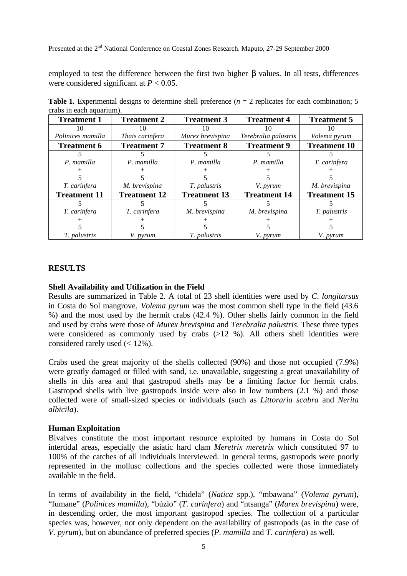employed to test the difference between the first two higher **b** values. In all tests, differences were considered significant at  $P < 0.05$ .

| eracs in each aguailmn. |                     |                     |                      |                     |
|-------------------------|---------------------|---------------------|----------------------|---------------------|
| <b>Treatment 1</b>      | <b>Treatment 2</b>  | <b>Treatment 3</b>  | <b>Treatment 4</b>   | <b>Treatment 5</b>  |
| 10                      | 10                  | 10                  | 10                   | 10                  |
| Polinices mamilla       | Thais carinfera     | Murex brevispina    | Terebralia palustris | Volema pyrum        |
| <b>Treatment 6</b>      | <b>Treatment 7</b>  | <b>Treatment 8</b>  | <b>Treatment 9</b>   | <b>Treatment 10</b> |
|                         |                     |                     |                      |                     |
| P. mamilla              | P. mamilla          | P. mamilla          | P. mamilla           | T. carinfera        |
|                         |                     |                     |                      |                     |
|                         |                     |                     |                      |                     |
| T. carinfera            | M. brevispina       | <i>T. palustris</i> | V. <i>pyrum</i>      | M. brevispina       |
| <b>Treatment 11</b>     | <b>Treatment 12</b> | <b>Treatment 13</b> | <b>Treatment 14</b>  | <b>Treatment 15</b> |
|                         |                     |                     |                      |                     |
| T. carinfera            | T. carinfera        | M. brevispina       | M. brevispina        | T. palustris        |
|                         |                     |                     |                      |                     |
|                         |                     |                     |                      |                     |
| <i>T. palustris</i>     | <i>V. pyrum</i>     | <i>T. palustris</i> | V. <i>pyrum</i>      | V. <i>pyrum</i>     |

**Table 1.** Experimental designs to determine shell preference  $(n = 2$  replicates for each combination; 5 crabs in each aquarium).

# **RESULTS**

### **Shell Availability and Utilization in the Field**

Results are summarized in Table 2. A total of 23 shell identities were used by *C*. *longitarsus* in Costa do Sol mangrove. *Volema pyrum* was the most common shell type in the field (43.6 %) and the most used by the hermit crabs (42.4 %). Other shells fairly common in the field and used by crabs were those of *Murex brevispina* and *Terebralia palustris*. These three types were considered as commonly used by crabs  $(>12, 96)$ . All others shell identities were considered rarely used (< 12%).

Crabs used the great majority of the shells collected (90%) and those not occupied (7.9%) were greatly damaged or filled with sand, i.e. unavailable, suggesting a great unavailability of shells in this area and that gastropod shells may be a limiting factor for hermit crabs. Gastropod shells with live gastropods inside were also in low numbers (2.1 %) and those collected were of small-sized species or individuals (such as *Littoraria scabra* and *Nerita albicila*).

# **Human Exploitation**

Bivalves constitute the most important resource exploited by humans in Costa do Sol intertidal areas, especially the asiatic hard clam *Meretrix meretrix* which constituted 97 to 100% of the catches of all individuals interviewed. In general terms, gastropods were poorly represented in the mollusc collections and the species collected were those immediately available in the field.

In terms of availability in the field, "chidela" (*Natica* spp.), "mbawana" (*Volema pyrum*), "fumane" (*Polinices mamilla*), "búzio" (*T*. *carinfera*) and "ntsanga" (*Murex brevispina*) were, in descending order, the most important gastropod species. The collection of a particular species was, however, not only dependent on the availability of gastropods (as in the case of *V*. *pyrum*), but on abundance of preferred species (*P*. *mamilla* and *T*. *carinfera*) as well.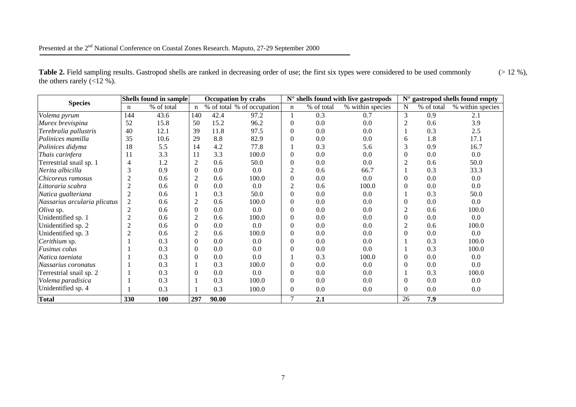| <b>Species</b>               |                | Shells found in sample | <b>Occupation by crabs</b> |       | $N°$ shells found with live gastropods |                |            | $N^{\circ}$ gastropod shells found empty |                |            |                  |
|------------------------------|----------------|------------------------|----------------------------|-------|----------------------------------------|----------------|------------|------------------------------------------|----------------|------------|------------------|
|                              | $\mathbf n$    | % of total             | $\mathbf n$                |       | % of total % of occupation             | $\mathbf n$    | % of total | % within species                         | $\mathbf N$    | % of total | % within species |
| Volema pyrum                 | 144            | 43.6                   | 140                        | 42.4  | 97.2                                   |                | 0.3        | 0.7                                      | 3              | 0.9        | 2.1              |
| Murex brevispina             | 52             | 15.8                   | 50                         | 15.2  | 96.2                                   | $\theta$       | 0.0        | 0.0                                      | 2              | 0.6        | 3.9              |
| Terebralia pallustris        | 40             | 12.1                   | 39                         | 11.8  | 97.5                                   | $\theta$       | 0.0        | 0.0                                      |                | 0.3        | 2.5              |
| Polinices mamilla            | 35             | 10.6                   | 29                         | 8.8   | 82.9                                   | $\overline{0}$ | 0.0        | 0.0                                      | 6              | 1.8        | 17.1             |
| Polinices didyma             | 18             | 5.5                    | 14                         | 4.2   | 77.8                                   |                | 0.3        | 5.6                                      | 3              | 0.9        | 16.7             |
| Thais carinfera              | 11             | 3.3                    | 11                         | 3.3   | 100.0                                  | $\theta$       | 0.0        | 0.0                                      | $\Omega$       | 0.0        | 0.0              |
| Terrestrial snail sp. 1      |                | 1.2                    | $\overline{c}$             | 0.6   | 50.0                                   | $\mathbf{0}$   | 0.0        | 0.0                                      | $\overline{2}$ | 0.6        | 50.0             |
| Nerita albicilla             | 3              | 0.9                    | $\Omega$                   | 0.0   | 0.0                                    | 2              | 0.6        | 66.7                                     |                | 0.3        | 33.3             |
| Chicoreus ramosus            |                | 0.6                    | $\overline{2}$             | 0.6   | 100.0                                  | $\mathbf{0}$   | 0.0        | 0.0                                      | $\Omega$       | 0.0        | 0.0              |
| Littoraria scabra            |                | 0.6                    | $\Omega$                   | 0.0   | 0.0                                    | $\overline{c}$ | 0.6        | 100.0                                    | $\Omega$       | 0.0        | 0.0              |
| Natica gualteriana           | $\overline{2}$ | 0.6                    |                            | 0.3   | 50.0                                   | $\overline{0}$ | 0.0        | 0.0                                      |                | 0.3        | 50.0             |
| Nassarius arcularia plicatus | $\overline{2}$ | 0.6                    | 2                          | 0.6   | 100.0                                  | $\theta$       | 0.0        | 0.0                                      | $\Omega$       | 0.0        | 0.0              |
| Oliva sp.                    | 2              | 0.6                    | $\Omega$                   | 0.0   | 0.0                                    | $\theta$       | 0.0        | 0.0                                      | $\overline{2}$ | 0.6        | 100.0            |
| Unidentified sp. 1           |                | 0.6                    | $\overline{2}$             | 0.6   | 100.0                                  | $\Omega$       | 0.0        | 0.0                                      | $\Omega$       | 0.0        | 0.0              |
| Unidentified sp. 2           |                | 0.6                    | $\Omega$                   | 0.0   | 0.0                                    | $\theta$       | 0.0        | 0.0                                      | 2              | 0.6        | 100.0            |
| Unidentified sp. 3           | $\overline{2}$ | 0.6                    | $\overline{c}$             | 0.6   | 100.0                                  | $\theta$       | 0.0        | 0.0                                      | $\Omega$       | 0.0        | 0.0              |
| Cerithium sp.                |                | 0.3                    | $\Omega$                   | 0.0   | 0.0                                    | $\theta$       | 0.0        | 0.0                                      |                | 0.3        | 100.0            |
| Fusinus colus                |                | 0.3                    | $\theta$                   | 0.0   | $0.0\,$                                | $\theta$       | 0.0        | 0.0                                      |                | 0.3        | 100.0            |
| Natica taeniata              |                | 0.3                    | $\Omega$                   | 0.0   | 0.0                                    |                | 0.3        | 100.0                                    | $\Omega$       | 0.0        | 0.0              |
| Nassarius coronatus          |                | 0.3                    |                            | 0.3   | 100.0                                  | $\Omega$       | 0.0        | 0.0                                      |                | 0.0        | 0.0              |
| Terrestrial snail sp. 2      |                | 0.3                    | $\Omega$                   | 0.0   | 0.0                                    | $\theta$       | 0.0        | 0.0                                      |                | 0.3        | 100.0            |
| Volema paradisica            |                | 0.3                    |                            | 0.3   | 100.0                                  | $\theta$       | 0.0        | 0.0                                      | $\Omega$       | 0.0        | 0.0              |
| Unidentified sp. 4           |                | 0.3                    |                            | 0.3   | 100.0                                  | $\mathbf{0}$   | $0.0\,$    | 0.0                                      | $\Omega$       | 0.0        | $0.0\,$          |
| <b>Total</b>                 | 330            | 100                    | 297                        | 90.00 |                                        | $\tau$         | 2.1        |                                          | 26             | 7.9        |                  |

Table 2. Field sampling results. Gastropod shells are ranked in decreasing order of use; the first six types were considered to be used commonly (> 12 %), the others rarely  $(\overline{<}12\%)$ .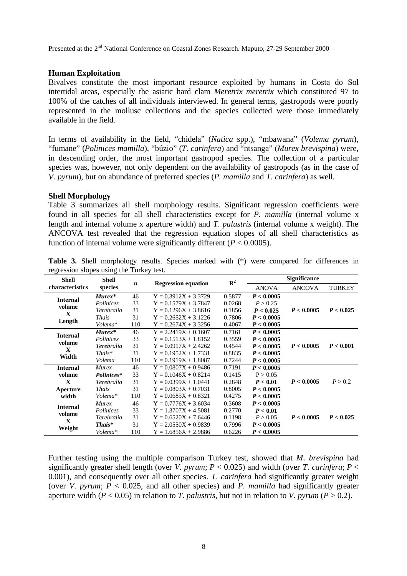# **Human Exploitation**

Bivalves constitute the most important resource exploited by humans in Costa do Sol intertidal areas, especially the asiatic hard clam *Meretrix meretrix* which constituted 97 to 100% of the catches of all individuals interviewed. In general terms, gastropods were poorly represented in the mollusc collections and the species collected were those immediately available in the field.

In terms of availability in the field, "chidela" (*Natica* spp.), "mbawana" (*Volema pyrum*), "fumane" (*Polinices mamilla*), "búzio" (*T*. *carinfera*) and "ntsanga" (*Murex brevispina*) were, in descending order, the most important gastropod species. The collection of a particular species was, however, not only dependent on the availability of gastropods (as in the case of *V*. *pyrum*), but on abundance of preferred species (*P*. *mamilla* and *T*. *carinfera*) as well.

# **Shell Morphology**

Table 3 summarizes all shell morphology results. Significant regression coefficients were found in all species for all shell characteristics except for *P*. *mamilla* (internal volume x length and internal volume x aperture width) and *T*. *palustris* (internal volume x weight). The ANCOVA test revealed that the regression equation slopes of all shell characteristics as function of internal volume were significantly different  $(P < 0.0005)$ .

| <b>Shell</b>              | <b>Shell</b>      |     |                            | ${\bf R}^2$ | <b>Significance</b> |               |               |  |
|---------------------------|-------------------|-----|----------------------------|-------------|---------------------|---------------|---------------|--|
| characteristics           | species           | n   | <b>Regression equation</b> |             | <b>ANOVA</b>        | <b>ANCOVA</b> | <b>TURKEY</b> |  |
| <b>Internal</b><br>volume | $Murex*$          | 46  | $Y = 0.3912X + 3.3729$     | 0.5877      | P < 0.0005          |               |               |  |
|                           | Polinices         | 33  | $Y = 0.1579X + 3.7847$     | 0.0268      | P > 0.25            |               |               |  |
| X                         | Terebralia        | 31  | $Y = 0.1296X + 3.8616$     | 0.1856      | P < 0.025           | P < 0.0005    | P < 0.025     |  |
|                           | <b>Thais</b>      | 31  | $Y = 0.2652X + 3.1226$     | 0.7806      | P < 0.0005          |               |               |  |
| Length                    | Volema*           | 110 | $Y = 0.2674X + 3.3256$     | 0.4067      | P < 0.0005          |               |               |  |
| <b>Internal</b>           | $Murex*$          | 46  | $Y = 2.2419X + 0.1607$     | 0.7161      | P < 0.0005          |               |               |  |
| volume                    | Polinices         | 33  | $Y = 0.1513X + 1.8152$     | 0.3559      | P < 0.0005          |               |               |  |
| $\mathbf{x}$              | Terebralia        | 31  | $Y = 0.0917X + 2.4262$     | 0.4544      | P < 0.0005          | P < 0.0005    | P < 0.001     |  |
| Width                     | $That's*$         | 31  | $Y = 0.1952X + 1.7331$     | 0.8835      | P < 0.0005          |               |               |  |
|                           | Volema            | 110 | $Y = 0.1919X + 1.8087$     | 0.7244      | P < 0.0005          |               |               |  |
| <b>Internal</b>           | <b>Murex</b>      | 46  | $Y = 0.0807X + 0.9486$     | 0.7191      | P < 0.0005          |               |               |  |
| volume                    | Polinices*        | 33  | $Y = 0.1046X + 0.8214$     | 0.1415      | P > 0.05            |               |               |  |
| $\mathbf x$               | Terebralia        | 31  | $Y = 0.0399X + 1.0441$     | 0.2848      | P < 0.01            | P < 0.0005    | P > 0.2       |  |
| Aperture                  | <b>Thais</b>      | 31  | $Y = 0.0803X + 0.7031$     | 0.8005      | P < 0.0005          |               |               |  |
| width                     | Volema*           | 110 | $Y = 0.0685X + 0.8321$     | 0.4275      | P < 0.0005          |               |               |  |
|                           | <b>Murex</b>      | 46  | $Y = 0.7776X + 3.6034$     | 0.3608      | P < 0.0005          |               |               |  |
| <b>Internal</b><br>volume | Polinices         | 33  | $Y = 1.3707X + 4.5081$     | 0.2770      | P < 0.01            |               |               |  |
|                           | Terebralia        | 31  | $Y = 0.6520X + 7.6446$     | 0.1198      | P > 0.05            | P < 0.0005    | P < 0.025     |  |
| X                         | $\mathit{This}^*$ | 31  | $Y = 2.0550X + 0.9839$     | 0.7996      | P < 0.0005          |               |               |  |
| Weight                    | Volema*           | 110 | $Y = 1.6856X + 2.9886$     | 0.6226      | P < 0.0005          |               |               |  |

**Table 3.** Shell morphology results. Species marked with (\*) were compared for differences in regression slopes using the Turkey test.

Further testing using the multiple comparison Turkey test, showed that *M*. *brevispina* had significantly greater shell length (over *V. pyrum*;  $P < 0.025$ ) and width (over *T. carinfera*;  $P <$ 0.001), and consequently over all other species. *T*. *carinfera* had significantly greater weight (over *V. pyrum*;  $P < 0.025$ , and all other species) and *P. mamilla* had significantly greater aperture width  $(P < 0.05)$  in relation to *T*. *palustris*, but not in relation to *V*. *pyrum*  $(P > 0.2)$ .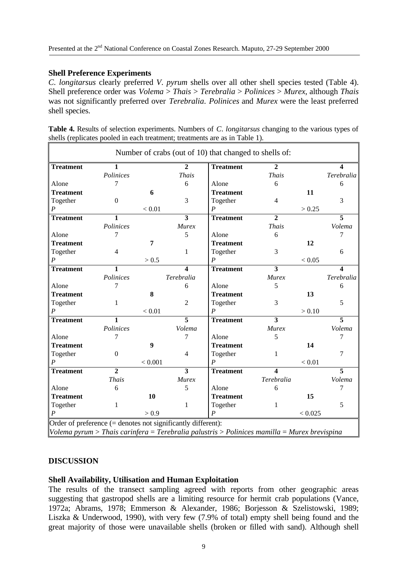# **Shell Preference Experiments**

*C*. *longitarsus* clearly preferred *V*. *pyrum* shells over all other shell species tested (Table 4). Shell preference order was *Volema* > *Thais* > *Terebralia* > *Polinices* > *Murex*, although *Thais* was not significantly preferred over *Terebralia*. *Polinices* and *Murex* were the least preferred shell species.

|  | Table 4. Results of selection experiments. Numbers of C. longitarsus changing to the various types of |  |  |  |  |
|--|-------------------------------------------------------------------------------------------------------|--|--|--|--|
|  | shells (replicates pooled in each treatment; treatments are as in Table 1).                           |  |  |  |  |

| <b>Treatment</b> | $\overline{1}$   |                  | $\overline{2}$          | <b>Treatment</b> | $\overline{2}$ |         | $\blacktriangle$ |
|------------------|------------------|------------------|-------------------------|------------------|----------------|---------|------------------|
|                  | Polinices        |                  | <b>Thais</b>            |                  | <b>Thais</b>   |         | Terebralia       |
| Alone            | 7                |                  | 6                       | Alone            | 6              |         | 6                |
| <b>Treatment</b> |                  | 6                |                         | <b>Treatment</b> |                | 11      |                  |
| Together         | $\theta$         |                  | 3                       | Together         | $\overline{4}$ |         | 3                |
| $\overline{P}$   |                  | < 0.01           |                         | $\boldsymbol{P}$ |                | > 0.25  |                  |
| <b>Treatment</b> | $\mathbf{1}$     |                  | $\overline{3}$          | <b>Treatment</b> | $\overline{2}$ |         | $\overline{5}$   |
|                  | Polinices        |                  | <b>Murex</b>            |                  | <b>Thais</b>   |         | Volema           |
| Alone            | 7                |                  | 5                       | Alone            | 6              |         | 7                |
| <b>Treatment</b> |                  | $\overline{7}$   |                         | <b>Treatment</b> |                | 12      |                  |
| Together         | $\overline{4}$   |                  | 1                       | Together         | 3              |         | 6                |
| $\boldsymbol{P}$ |                  | > 0.5            |                         | $\boldsymbol{P}$ |                | < 0.05  |                  |
| <b>Treatment</b> | $\overline{1}$   |                  | $\overline{\mathbf{4}}$ | <b>Treatment</b> | $\overline{3}$ |         |                  |
|                  | Polinices        |                  | Terebralia              |                  | <b>Murex</b>   |         | Terebralia       |
| Alone            | 7                |                  | 6                       | Alone            | 5              |         | 6                |
| <b>Treatment</b> |                  | 8                |                         | <b>Treatment</b> |                | 13      |                  |
| Together         | 1                |                  | $\overline{2}$          | Together         | 3              |         | 5                |
| $\overline{P}$   |                  | < 0.01           |                         | $\boldsymbol{P}$ |                | > 0.10  |                  |
| <b>Treatment</b> | $\mathbf{1}$     |                  | $\overline{5}$          | <b>Treatment</b> | 3              |         | $\overline{5}$   |
|                  | Polinices        |                  | Volema                  |                  | Murex          |         | Volema           |
| Alone            | 7                |                  | 7                       | Alone            | 5              |         | 7                |
| <b>Treatment</b> |                  | $\boldsymbol{9}$ |                         | <b>Treatment</b> |                | 14      |                  |
| Together         | $\boldsymbol{0}$ |                  | $\overline{4}$          | Together         | 1              |         | $\overline{7}$   |
| $\boldsymbol{P}$ |                  | < 0.001          |                         | $\boldsymbol{P}$ |                | < 0.01  |                  |
| <b>Treatment</b> | $\overline{2}$   |                  | $\overline{\mathbf{3}}$ | <b>Treatment</b> | 4              |         | $\overline{5}$   |
|                  | <b>Thais</b>     |                  | Murex                   |                  | Terebralia     |         | Volema           |
| Alone            | 6                |                  | 5                       | Alone            | 6              |         | 7                |
| <b>Treatment</b> |                  | 10               |                         | <b>Treatment</b> |                | 15      |                  |
| Together         | 1                |                  | 1                       | Together         | 1              |         | 5                |
| $\boldsymbol{P}$ |                  | > 0.9            |                         | $\boldsymbol{P}$ |                | < 0.025 |                  |

# **DISCUSSION**

# **Shell Availability, Utilisation and Human Exploitation**

The results of the transect sampling agreed with reports from other geographic areas suggesting that gastropod shells are a limiting resource for hermit crab populations (Vance, 1972a; Abrams, 1978; Emmerson & Alexander, 1986; Borjesson & Szelistowski, 1989; Liszka & Underwood, 1990), with very few (7.9% of total) empty shell being found and the great majority of those were unavailable shells (broken or filled with sand). Although shell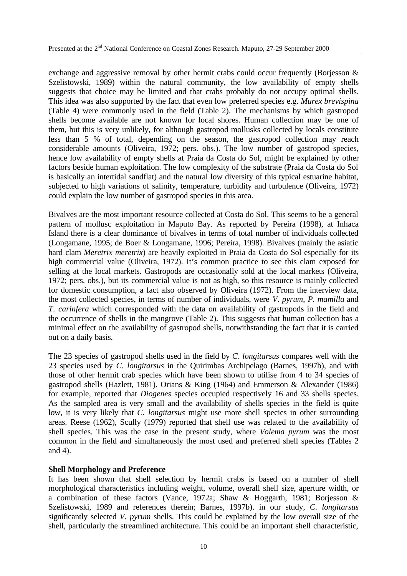exchange and aggressive removal by other hermit crabs could occur frequently (Borjesson  $\&$ Szelistowski, 1989) within the natural community, the low availability of empty shells suggests that choice may be limited and that crabs probably do not occupy optimal shells. This idea was also supported by the fact that even low preferred species e.g. *Murex brevispina* (Table 4) were commonly used in the field (Table 2). The mechanisms by which gastropod shells become available are not known for local shores. Human collection may be one of them, but this is very unlikely, for although gastropod mollusks collected by locals constitute less than 5 % of total, depending on the season, the gastropod collection may reach considerable amounts (Oliveira, 1972; pers. obs.). The low number of gastropod species, hence low availability of empty shells at Praia da Costa do Sol, might be explained by other factors beside human exploitation. The low complexity of the substrate (Praia da Costa do Sol is basically an intertidal sandflat) and the natural low diversity of this typical estuarine habitat, subjected to high variations of salinity, temperature, turbidity and turbulence (Oliveira, 1972) could explain the low number of gastropod species in this area.

Bivalves are the most important resource collected at Costa do Sol. This seems to be a general pattern of mollusc exploitation in Maputo Bay. As reported by Pereira (1998), at Inhaca Island there is a clear dominance of bivalves in terms of total number of individuals collected (Longamane, 1995; de Boer & Longamane, 1996; Pereira, 1998). Bivalves (mainly the asiatic hard clam *Meretrix meretrix*) are heavily exploited in Praia da Costa do Sol especially for its high commercial value (Oliveira, 1972). It's common practice to see this clam exposed for selling at the local markets. Gastropods are occasionally sold at the local markets (Oliveira, 1972; pers. obs.), but its commercial value is not as high, so this resource is mainly collected for domestic consumption, a fact also observed by Oliveira (1972). From the interview data, the most collected species, in terms of number of individuals, were *V*. *pyrum*, *P*. *mamilla* and *T*. *carinfera* which corresponded with the data on availability of gastropods in the field and the occurrence of shells in the mangrove (Table 2). This suggests that human collection has a minimal effect on the availability of gastropod shells, notwithstanding the fact that it is carried out on a daily basis.

The 23 species of gastropod shells used in the field by *C*. *longitarsus* compares well with the 23 species used by *C*. *longitarsus* in the Quirimbas Archipelago (Barnes, 1997b), and with those of other hermit crab species which have been shown to utilise from 4 to 34 species of gastropod shells (Hazlett, 1981). Orians & King (1964) and Emmerson & Alexander (1986) for example, reported that *Diogenes* species occupied respectively 16 and 33 shells species. As the sampled area is very small and the availability of shells species in the field is quite low, it is very likely that *C*. *longitarsus* might use more shell species in other surrounding areas. Reese (1962), Scully (1979) reported that shell use was related to the availability of shell species. This was the case in the present study, where *Volema pyrum* was the most common in the field and simultaneously the most used and preferred shell species (Tables 2 and 4).

# **Shell Morphology and Preference**

It has been shown that shell selection by hermit crabs is based on a number of shell morphological characteristics including weight, volume, overall shell size, aperture width, or a combination of these factors (Vance, 1972a; Shaw & Hoggarth, 1981; Borjesson & Szelistowski, 1989 and references therein; Barnes, 1997b). in our study, *C*. *longitarsus* significantly selected *V*. *pyrum* shells. This could be explained by the low overall size of the shell, particularly the streamlined architecture. This could be an important shell characteristic,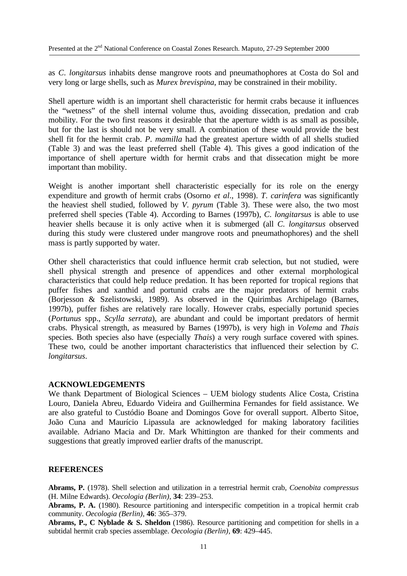as *C*. *longitarsus* inhabits dense mangrove roots and pneumathophores at Costa do Sol and very long or large shells, such as *Murex brevispina*, may be constrained in their mobility.

Shell aperture width is an important shell characteristic for hermit crabs because it influences the "wetness" of the shell internal volume thus, avoiding dissecation, predation and crab mobility. For the two first reasons it desirable that the aperture width is as small as possible, but for the last is should not be very small. A combination of these would provide the best shell fit for the hermit crab. *P*. *mamilla* had the greatest aperture width of all shells studied (Table 3) and was the least preferred shell (Table 4). This gives a good indication of the importance of shell aperture width for hermit crabs and that dissecation might be more important than mobility.

Weight is another important shell characteristic especially for its role on the energy expenditure and growth of hermit crabs (Osorno *et al*., 1998). *T*. *carinfera* was significantly the heaviest shell studied, followed by *V*. *pyrum* (Table 3). These were also, the two most preferred shell species (Table 4). According to Barnes (1997b), *C*. *longitarsus* is able to use heavier shells because it is only active when it is submerged (all *C*. *longitarsus* observed during this study were clustered under mangrove roots and pneumathophores) and the shell mass is partly supported by water.

Other shell characteristics that could influence hermit crab selection, but not studied, were shell physical strength and presence of appendices and other external morphological characteristics that could help reduce predation. It has been reported for tropical regions that puffer fishes and xanthid and portunid crabs are the major predators of hermit crabs (Borjesson & Szelistowski, 1989). As observed in the Quirimbas Archipelago (Barnes, 1997b), puffer fishes are relatively rare locally. However crabs, especially portunid species (*Portunus* spp., *Scylla serrata*), are abundant and could be important predators of hermit crabs. Physical strength, as measured by Barnes (1997b), is very high in *Volema* and *Thais* species. Both species also have (especially *Thais*) a very rough surface covered with spines. These two, could be another important characteristics that influenced their selection by *C*. *longitarsus*.

# **ACKNOWLEDGEMENTS**

We thank Department of Biological Sciences – UEM biology students Alice Costa, Cristina Louro, Daniela Abreu, Eduardo Videira and Guilhermina Fernandes for field assistance. We are also grateful to Custódio Boane and Domingos Gove for overall support. Alberto Sitoe, João Cuna and Maurício Lipassula are acknowledged for making laboratory facilities available. Adriano Macia and Dr. Mark Whittington are thanked for their comments and suggestions that greatly improved earlier drafts of the manuscript.

# **REFERENCES**

**Abrams, P.** (1978). Shell selection and utilization in a terrestrial hermit crab, *Coenobita compressus* (H. Milne Edwards). *Oecologia (Berlin)*, **34**: 239–253.

**Abrams, P. A.** (1980). Resource partitioning and interspecific competition in a tropical hermit crab community. *Oecologia (Berlin)*, **46**: 365–379.

**Abrams, P., C Nyblade & S. Sheldon** (1986). Resource partitioning and competition for shells in a subtidal hermit crab species assemblage. *Oecologia (Berlin)*, **69**: 429–445.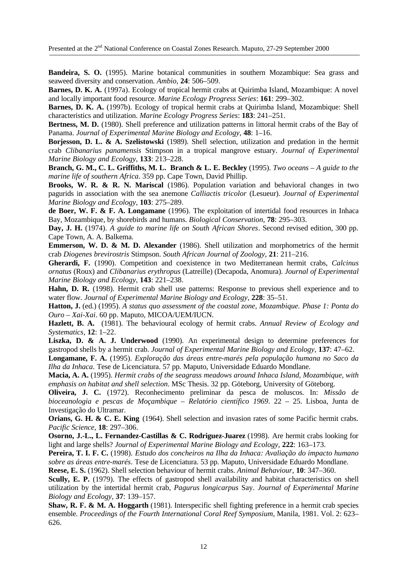**Bandeira, S. O.** (1995). Marine botanical communities in southern Mozambique: Sea grass and seaweed diversity and conservation. *Ambio*, **24**: 506–509.

**Barnes, D. K. A.** (1997a). Ecology of tropical hermit crabs at Quirimba Island, Mozambique: A novel and locally important food resource. *Marine Ecology Progress Series*: **161**: 299–302.

**Barnes, D. K. A.** (1997b). Ecology of tropical hermit crabs at Quirimba Island, Mozambique: Shell characteristics and utilization. *Marine Ecology Progress Series*: **183**: 241–251.

**Bertness, M. D.** (1980). Shell preference and utilization patterns in littoral hermit crabs of the Bay of Panama. *Journal of Experimental Marine Biology and Ecology*, **48**: 1–16.

**Borjesson, D. L. & A. Szelistowski** (1989). Shell selection, utilization and predation in the hermit crab *Clibanarius panamensis* Stimpson in a tropical mangrove estuary. *Journal of Experimental Marine Biology and Ecology*, **133**: 213–228.

**Branch, G. M., C. L. Griffiths, M. L. Branch & L. E. Beckley** (1995). *Two oceans – A guide to the marine life of southern Africa*. 359 pp. Cape Town, David Phillip.

**Brooks, W. R. & R. N. Mariscal** (1986). Population variation and behavioral changes in two pagurids in association with the sea anemone *Calliactis tricolor* (Lesueur). *Journal of Experimental Marine Biology and Ecology*, **103**: 275–289.

**de Boer, W. F. & F. A. Longamane** (1996). The exploitation of intertidal food resources in Inhaca Bay, Mozambique, by shorebirds and humans. *Biological Conservation*, **78**: 295–303.

**Day, J. H.** (1974). *A guide to marine life on South African Shores*. Second revised edition, 300 pp. Cape Town, A. A. Balkema.

**Emmerson, W. D. & M. D. Alexander** (1986). Shell utilization and morphometrics of the hermit crab *Diogenes brevirostris* Stimpson. *South African Journal of Zoology*, **21**: 211–216.

**Gherardi, F.** (1990). Competition and coexistence in two Mediterranean hermit crabs, *Calcinus ornatus* (Roux) and *Clibanarius erythropus* (Latreille) (Decapoda, Anomura). *Journal of Experimental Marine Biology and Ecology*, **143**: 221–238.

**Hahn, D. R.** (1998). Hermit crab shell use patterns: Response to previous shell experience and to water flow. *Journal of Experimental Marine Biology and Ecology*, **228**: 35–51.

**Hatton, J.** (ed.) (1995). *A status quo assessment of the coastal zone, Mozambique. Phase 1: Ponta do Ouro – Xai-Xai*. 60 pp. Maputo, MICOA/UEM/IUCN.

**Hazlett, B. A.** (1981). The behavioural ecology of hermit crabs. *Annual Review of Ecology and Systematics*, **12**: 1–22.

Liszka, D. & A. J. Underwood (1990). An experimental design to determine preferences for gastropod shells by a hermit crab. *Journal of Experimental Marine Biology and Ecology*, **137**: 47–62.

**Longamane, F. A.** (1995). *Exploração das áreas entre-marés pela população humana no Saco da Ilha da Inhaca*. Tese de Licenciatura. 57 pp. Maputo, Universidade Eduardo Mondlane.

**Macia, A. A.** (1995). *Hermit crabs of the seagrass meadows around Inhaca Island, Mozambique, with emphasis on habitat and shell selection*. MSc Thesis. 32 pp. Göteborg, University of Göteborg.

**Oliveira, J. C.** (1972). Reconhecimento preliminar da pesca de moluscos. In: *Missão de bioceanologia e pescas de Moçambique – Relatório científico 1969*. 22 – 25. Lisboa, Junta de Investigação do Ultramar.

**Orians, G. H. & C. E. King** (1964). Shell selection and invasion rates of some Pacific hermit crabs. *Pacific Science*, **18**: 297–306.

**Osorno, J.-L., L. Fernandez-Castillas & C. Rodriguez-Juarez** (1998). Are hermit crabs looking for light and large shells? *Journal of Experimental Marine Biology and Ecology*, **222**: 163–173.

**Pereira, T. I. F. C.** (1998). *Estudo dos concheiros na Ilha da Inhaca: Avaliação do impacto humano sobre as áreas entre-marés*. Tese de Licenciatura. 53 pp. Maputo, Universidade Eduardo Mondlane.

**Reese, E. S.** (1962). Shell selection behaviour of hermit crabs. *Animal Behaviour*, **10**: 347–360.

**Scully, E. P.** (1979). The effects of gastropod shell availability and habitat characteristics on shell utilization by the intertidal hermit crab, *Pagurus longicarpus* Say. *Journal of Experimental Marine Biology and Ecology*, **37**: 139–157.

**Shaw, R. F. & M. A. Hoggarth** (1981). Interspecific shell fighting preference in a hermit crab species ensemble. *Proceedings of the Fourth International Coral Reef Symposium*, Manila, 1981. Vol. 2: 623– 626.